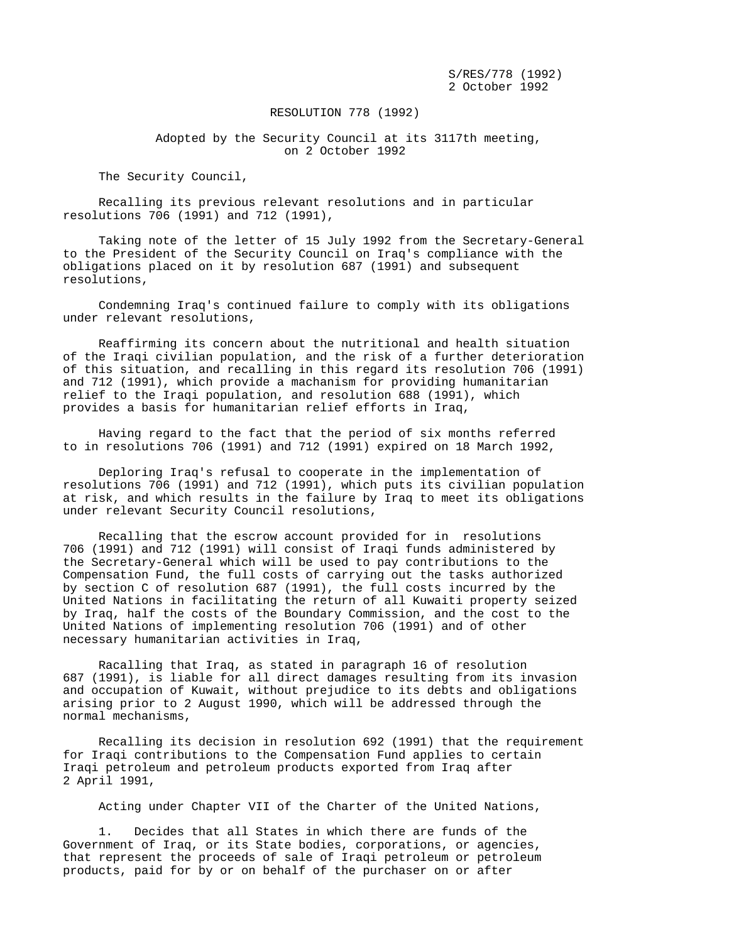S/RES/778 (1992) 2 October 1992

## RESOLUTION 778 (1992)

 Adopted by the Security Council at its 3117th meeting, on 2 October 1992

The Security Council,

 Recalling its previous relevant resolutions and in particular resolutions 706 (1991) and 712 (1991),

 Taking note of the letter of 15 July 1992 from the Secretary-General to the President of the Security Council on Iraq's compliance with the obligations placed on it by resolution 687 (1991) and subsequent resolutions,

 Condemning Iraq's continued failure to comply with its obligations under relevant resolutions,

 Reaffirming its concern about the nutritional and health situation of the Iraqi civilian population, and the risk of a further deterioration of this situation, and recalling in this regard its resolution 706 (1991) and 712 (1991), which provide a machanism for providing humanitarian relief to the Iraqi population, and resolution 688 (1991), which provides a basis for humanitarian relief efforts in Iraq,

 Having regard to the fact that the period of six months referred to in resolutions 706 (1991) and 712 (1991) expired on 18 March 1992,

 Deploring Iraq's refusal to cooperate in the implementation of resolutions 706 (1991) and 712 (1991), which puts its civilian population at risk, and which results in the failure by Iraq to meet its obligations under relevant Security Council resolutions,

 Recalling that the escrow account provided for in resolutions 706 (1991) and 712 (1991) will consist of Iraqi funds administered by the Secretary-General which will be used to pay contributions to the Compensation Fund, the full costs of carrying out the tasks authorized by section C of resolution 687 (1991), the full costs incurred by the United Nations in facilitating the return of all Kuwaiti property seized by Iraq, half the costs of the Boundary Commission, and the cost to the United Nations of implementing resolution 706 (1991) and of other necessary humanitarian activities in Iraq,

 Racalling that Iraq, as stated in paragraph 16 of resolution 687 (1991), is liable for all direct damages resulting from its invasion and occupation of Kuwait, without prejudice to its debts and obligations arising prior to 2 August 1990, which will be addressed through the normal mechanisms,

 Recalling its decision in resolution 692 (1991) that the requirement for Iraqi contributions to the Compensation Fund applies to certain Iraqi petroleum and petroleum products exported from Iraq after 2 April 1991,

Acting under Chapter VII of the Charter of the United Nations,

 1. Decides that all States in which there are funds of the Government of Iraq, or its State bodies, corporations, or agencies, that represent the proceeds of sale of Iraqi petroleum or petroleum products, paid for by or on behalf of the purchaser on or after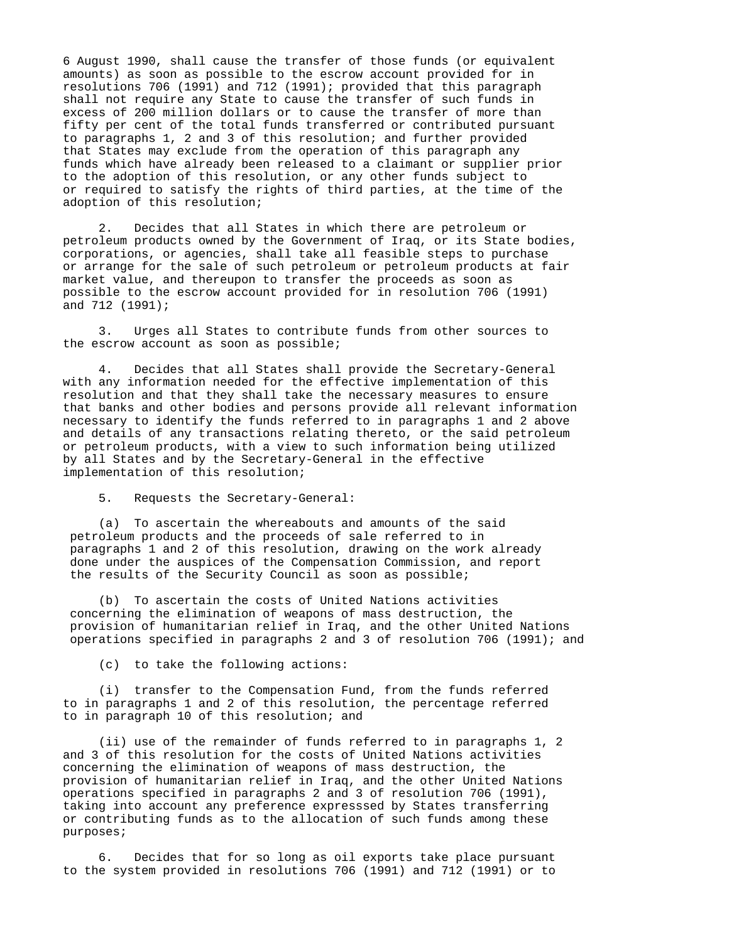6 August 1990, shall cause the transfer of those funds (or equivalent amounts) as soon as possible to the escrow account provided for in resolutions 706 (1991) and 712 (1991); provided that this paragraph shall not require any State to cause the transfer of such funds in excess of 200 million dollars or to cause the transfer of more than fifty per cent of the total funds transferred or contributed pursuant to paragraphs 1, 2 and 3 of this resolution; and further provided that States may exclude from the operation of this paragraph any funds which have already been released to a claimant or supplier prior to the adoption of this resolution, or any other funds subject to or required to satisfy the rights of third parties, at the time of the adoption of this resolution;

 2. Decides that all States in which there are petroleum or petroleum products owned by the Government of Iraq, or its State bodies, corporations, or agencies, shall take all feasible steps to purchase or arrange for the sale of such petroleum or petroleum products at fair market value, and thereupon to transfer the proceeds as soon as possible to the escrow account provided for in resolution 706 (1991) and 712 (1991);

 3. Urges all States to contribute funds from other sources to the escrow account as soon as possible;

 4. Decides that all States shall provide the Secretary-General with any information needed for the effective implementation of this resolution and that they shall take the necessary measures to ensure that banks and other bodies and persons provide all relevant information necessary to identify the funds referred to in paragraphs 1 and 2 above and details of any transactions relating thereto, or the said petroleum or petroleum products, with a view to such information being utilized by all States and by the Secretary-General in the effective implementation of this resolution;

5. Requests the Secretary-General:

 (a) To ascertain the whereabouts and amounts of the said petroleum products and the proceeds of sale referred to in paragraphs 1 and 2 of this resolution, drawing on the work already done under the auspices of the Compensation Commission, and report the results of the Security Council as soon as possible;

 (b) To ascertain the costs of United Nations activities concerning the elimination of weapons of mass destruction, the provision of humanitarian relief in Iraq, and the other United Nations operations specified in paragraphs 2 and 3 of resolution 706 (1991); and

(c) to take the following actions:

 (i) transfer to the Compensation Fund, from the funds referred to in paragraphs 1 and 2 of this resolution, the percentage referred to in paragraph 10 of this resolution; and

 (ii) use of the remainder of funds referred to in paragraphs 1, 2 and 3 of this resolution for the costs of United Nations activities concerning the elimination of weapons of mass destruction, the provision of humanitarian relief in Iraq, and the other United Nations operations specified in paragraphs 2 and 3 of resolution 706 (1991), taking into account any preference expresssed by States transferring or contributing funds as to the allocation of such funds among these purposes;

 6. Decides that for so long as oil exports take place pursuant to the system provided in resolutions 706 (1991) and 712 (1991) or to